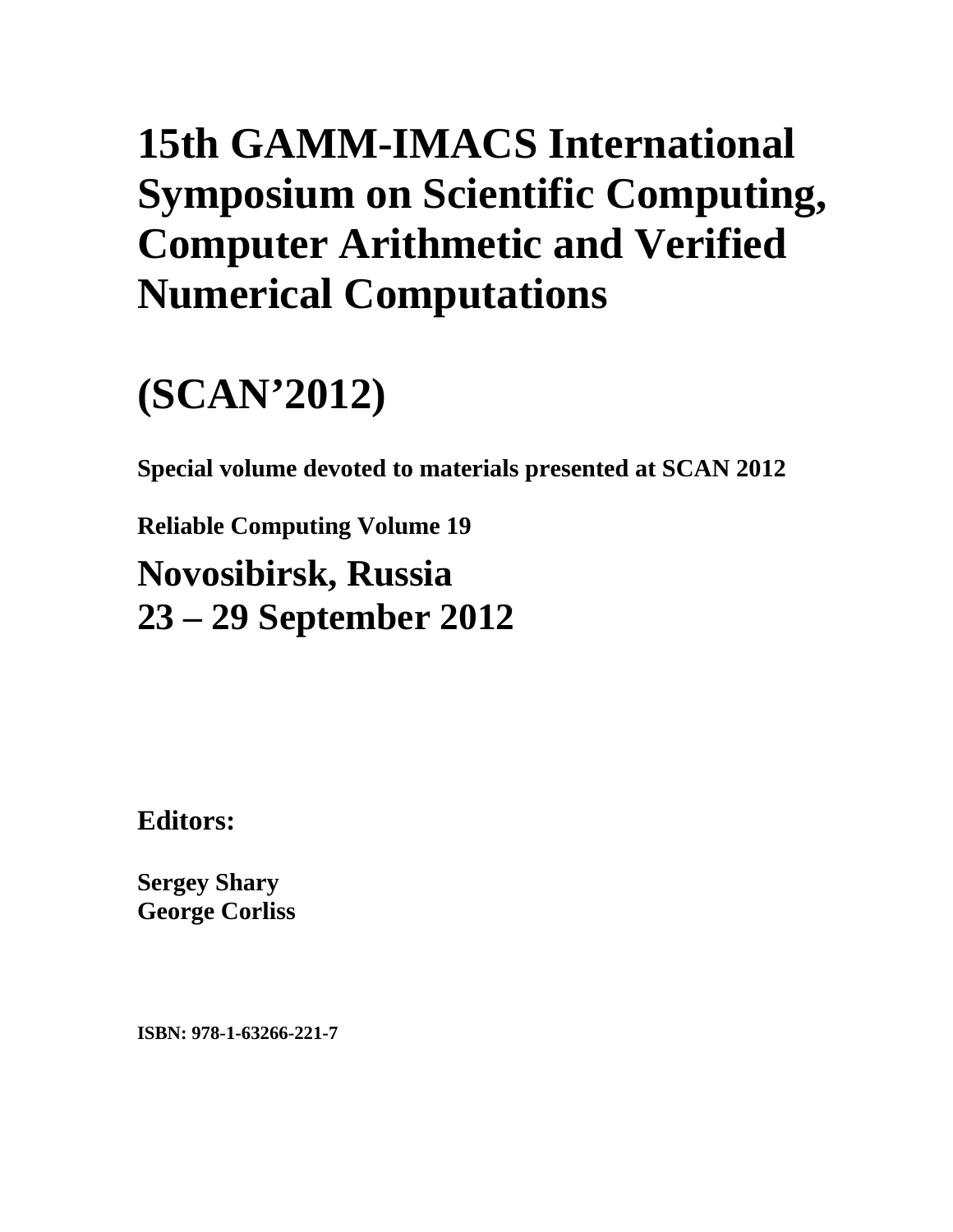# **15th GAMM-IMACS International Symposium on Scientific Computing, Computer Arithmetic and Verified Numerical Computations**

# **(SCAN'2012)**

**Special volume devoted to materials presented at SCAN 2012** 

**Reliable Computing Volume 19**

**Novosibirsk, Russia 23 – 29 September 2012** 

**Editors:** 

**Sergey Shary George Corliss** 

**ISBN: 978-1-63266-221-7**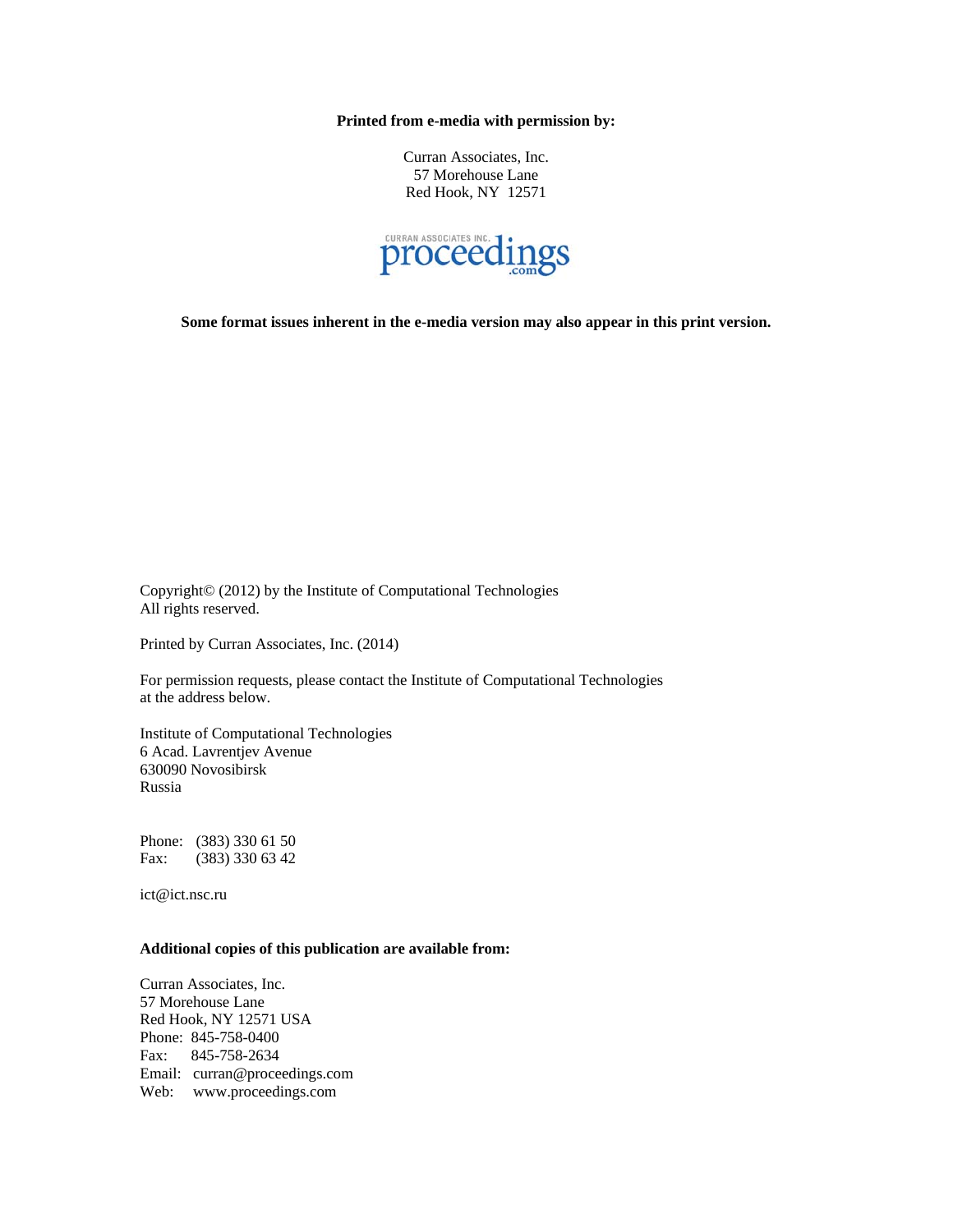**Printed from e-media with permission by:** 

Curran Associates, Inc. 57 Morehouse Lane Red Hook, NY 12571



**Some format issues inherent in the e-media version may also appear in this print version.** 

Copyright© (2012) by the Institute of Computational Technologies All rights reserved.

Printed by Curran Associates, Inc. (2014)

For permission requests, please contact the Institute of Computational Technologies at the address below.

Institute of Computational Technologies 6 Acad. Lavrentjev Avenue 630090 Novosibirsk Russia

Phone: (383) 330 61 50 Fax: (383) 330 63 42

ict@ict.nsc.ru

#### **Additional copies of this publication are available from:**

Curran Associates, Inc. 57 Morehouse Lane Red Hook, NY 12571 USA Phone: 845-758-0400 Fax: 845-758-2634 Email: curran@proceedings.com Web: www.proceedings.com